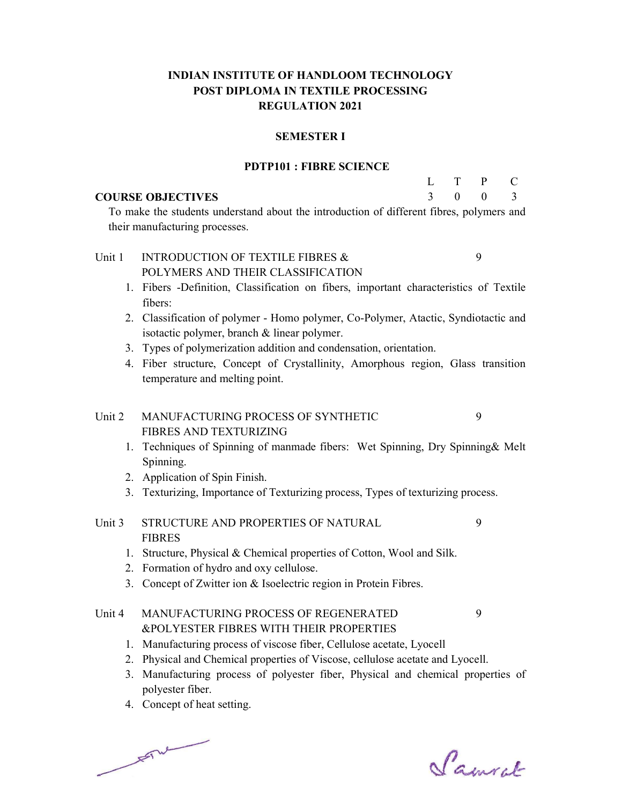# INDIAN INSTITUTE OF HANDLOOM TECHNOLOGY POST DIPLOMA IN TEXTILE PROCESSING REGULATION 2021

#### SEMESTER I

#### PDTP101 : FIBRE SCIENCE

#### COURSE OBJECTIVES

| Ι.            |          | P        | C.            |
|---------------|----------|----------|---------------|
| $\mathcal{R}$ | $\theta$ | $\theta$ | $\mathcal{R}$ |

9

 To make the students understand about the introduction of different fibres, polymers and their manufacturing processes.

#### Unit 1 INTRODUCTION OF TEXTILE FIBRES & POLYMERS AND THEIR CLASSIFICATION 9

- 1. Fibers -Definition, Classification on fibers, important characteristics of Textile fibers:
- 2. Classification of polymer Homo polymer, Co-Polymer, Atactic, Syndiotactic and isotactic polymer, branch & linear polymer.
- 3. Types of polymerization addition and condensation, orientation.
- 4. Fiber structure, Concept of Crystallinity, Amorphous region, Glass transition temperature and melting point.

# Unit 2 MANUFACTURING PROCESS OF SYNTHETIC FIBRES AND TEXTURIZING

- 1. Techniques of Spinning of manmade fibers: Wet Spinning, Dry Spinning& Melt Spinning.
- 2. Application of Spin Finish.
- 3. Texturizing, Importance of Texturizing process, Types of texturizing process.

#### Unit 3 STRUCTURE AND PROPERTIES OF NATURAL FIBRES 9

- 1. Structure, Physical & Chemical properties of Cotton, Wool and Silk.
- 2. Formation of hydro and oxy cellulose.
- 3. Concept of Zwitter ion & Isoelectric region in Protein Fibres.

#### Unit 4 MANUFACTURING PROCESS OF REGENERATED &POLYESTER FIBRES WITH THEIR PROPERTIES 9

- 1. Manufacturing process of viscose fiber, Cellulose acetate, Lyocell
- 2. Physical and Chemical properties of Viscose, cellulose acetate and Lyocell.
- 3. Manufacturing process of polyester fiber, Physical and chemical properties of polyester fiber.
- 4. Concept of heat setting.

 $F = \sqrt{2\pi r^2}$ 

Samuel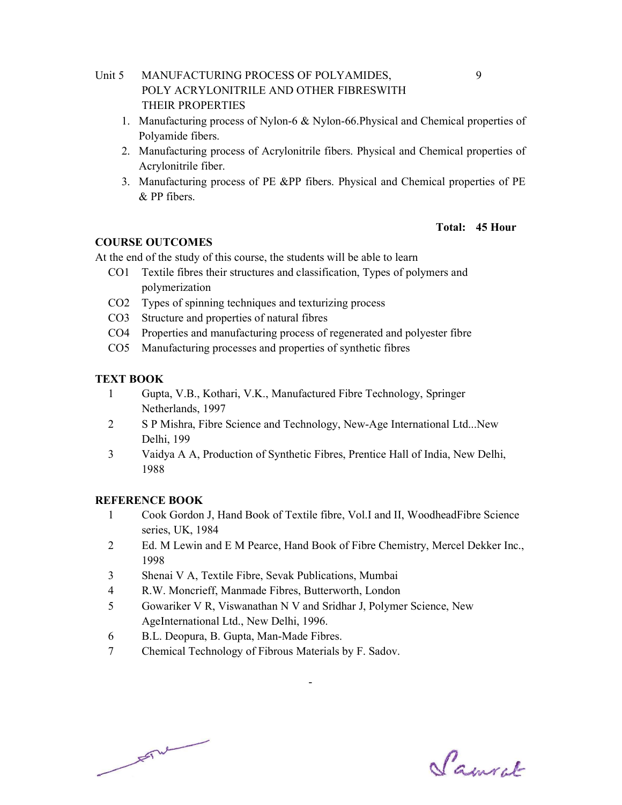- Unit 5 MANUFACTURING PROCESS OF POLYAMIDES, POLY ACRYLONITRILE AND OTHER FIBRESWITH THEIR PROPERTIES
	- 1. Manufacturing process of Nylon-6 & Nylon-66.Physical and Chemical properties of Polyamide fibers.
	- 2. Manufacturing process of Acrylonitrile fibers. Physical and Chemical properties of Acrylonitrile fiber.
	- 3. Manufacturing process of PE &PP fibers. Physical and Chemical properties of PE & PP fibers.

#### Total: 45 Hour

#### COURSE OUTCOMES

At the end of the study of this course, the students will be able to learn

- CO1 Textile fibres their structures and classification, Types of polymers and polymerization
- CO2 Types of spinning techniques and texturizing process
- CO3 Structure and properties of natural fibres
- CO4 Properties and manufacturing process of regenerated and polyester fibre
- CO5 Manufacturing processes and properties of synthetic fibres

## TEXT BOOK

- 1 Gupta, V.B., Kothari, V.K., Manufactured Fibre Technology, Springer Netherlands, 1997
- 2 S P Mishra, Fibre Science and Technology, New-Age International Ltd...New Delhi, 199
- 3 Vaidya A A, Production of Synthetic Fibres, Prentice Hall of India, New Delhi, 1988

# REFERENCE BOOK

- 1 Cook Gordon J, Hand Book of Textile fibre, Vol.I and II, WoodheadFibre Science series, UK, 1984
- 2 Ed. M Lewin and E M Pearce, Hand Book of Fibre Chemistry, Mercel Dekker Inc., 1998

- 3 Shenai V A, Textile Fibre, Sevak Publications, Mumbai
- 4 R.W. Moncrieff, Manmade Fibres, Butterworth, London
- 5 Gowariker V R, Viswanathan N V and Sridhar J, Polymer Science, New AgeInternational Ltd., New Delhi, 1996.
- 6 B.L. Deopura, B. Gupta, Man-Made Fibres.
- 7 Chemical Technology of Fibrous Materials by F. Sadov.

 $\frac{1}{\sqrt{2}}$ 

Samuel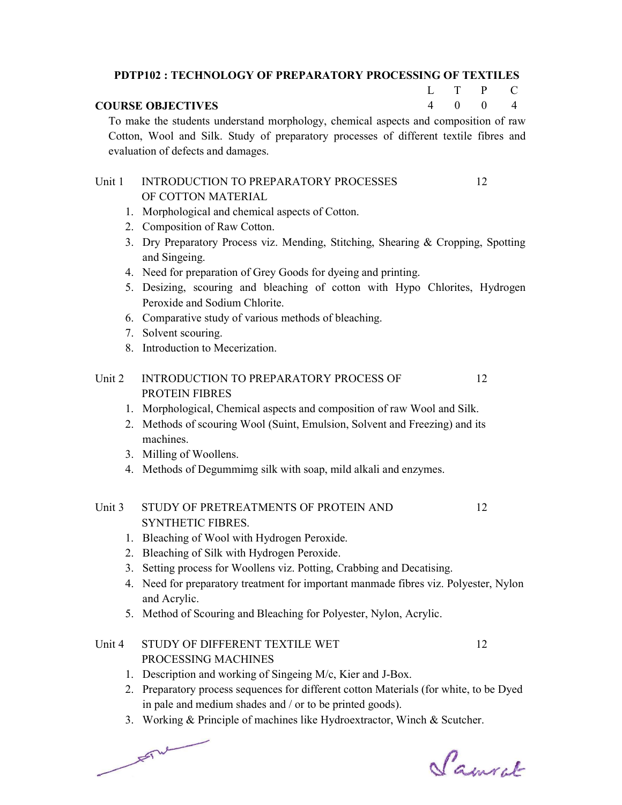|                                                                                          | <b>PDTP102: TECHNOLOGY OF PREPARATORY PROCESSING OF TEXTILES</b>                                   |   |   |    |                |
|------------------------------------------------------------------------------------------|----------------------------------------------------------------------------------------------------|---|---|----|----------------|
|                                                                                          |                                                                                                    | L | T | P  | C              |
| $\overline{\mathcal{A}}$<br>$\mathbf{0}$<br>$\boldsymbol{0}$<br><b>COURSE OBJECTIVES</b> |                                                                                                    |   |   |    | $\overline{4}$ |
|                                                                                          | To make the students understand morphology, chemical aspects and composition of raw                |   |   |    |                |
|                                                                                          | Cotton, Wool and Silk. Study of preparatory processes of different textile fibres and              |   |   |    |                |
|                                                                                          | evaluation of defects and damages.                                                                 |   |   |    |                |
| Unit 1                                                                                   | <b>INTRODUCTION TO PREPARATORY PROCESSES</b>                                                       |   |   | 12 |                |
|                                                                                          | OF COTTON MATERIAL                                                                                 |   |   |    |                |
|                                                                                          | 1. Morphological and chemical aspects of Cotton.                                                   |   |   |    |                |
|                                                                                          | 2. Composition of Raw Cotton.                                                                      |   |   |    |                |
|                                                                                          | 3. Dry Preparatory Process viz. Mending, Stitching, Shearing & Cropping, Spotting<br>and Singeing. |   |   |    |                |
|                                                                                          | 4. Need for preparation of Grey Goods for dyeing and printing.                                     |   |   |    |                |
|                                                                                          | 5. Desizing, scouring and bleaching of cotton with Hypo Chlorites, Hydrogen                        |   |   |    |                |
|                                                                                          | Peroxide and Sodium Chlorite.                                                                      |   |   |    |                |
|                                                                                          | 6. Comparative study of various methods of bleaching.                                              |   |   |    |                |
|                                                                                          | 7. Solvent scouring.                                                                               |   |   |    |                |
|                                                                                          | 8. Introduction to Mecerization.                                                                   |   |   |    |                |
| Unit 2                                                                                   | <b>INTRODUCTION TO PREPARATORY PROCESS OF</b>                                                      |   |   | 12 |                |
|                                                                                          | PROTEIN FIBRES                                                                                     |   |   |    |                |
|                                                                                          | 1. Morphological, Chemical aspects and composition of raw Wool and Silk.                           |   |   |    |                |
|                                                                                          | 2. Methods of scouring Wool (Suint, Emulsion, Solvent and Freezing) and its<br>machines.           |   |   |    |                |
|                                                                                          | 3. Milling of Woollens.                                                                            |   |   |    |                |
| 4.                                                                                       | Methods of Degummimg silk with soap, mild alkali and enzymes.                                      |   |   |    |                |
| Unit 3                                                                                   | STUDY OF PRETREATMENTS OF PROTEIN AND                                                              |   |   | 12 |                |
|                                                                                          | <b>SYNTHETIC FIBRES.</b>                                                                           |   |   |    |                |
| 1.                                                                                       | Bleaching of Wool with Hydrogen Peroxide.                                                          |   |   |    |                |
| 2.                                                                                       | Bleaching of Silk with Hydrogen Peroxide.                                                          |   |   |    |                |
| 3.                                                                                       | Setting process for Woollens viz. Potting, Crabbing and Decatising.                                |   |   |    |                |
| 4.                                                                                       | Need for preparatory treatment for important manmade fibres viz. Polyester, Nylon<br>and Acrylic.  |   |   |    |                |

5. Method of Scouring and Bleaching for Polyester, Nylon, Acrylic.

#### Unit 4 STUDY OF DIFFERENT TEXTILE WET PROCESSING MACHINES 12

- 1. Description and working of Singeing M/c, Kier and J-Box.
- 2. Preparatory process sequences for different cotton Materials (for white, to be Dyed in pale and medium shades and / or to be printed goods).
- 3. Working & Principle of machines like Hydroextractor, Winch & Scutcher.

 $\overline{r}$ 

Samuel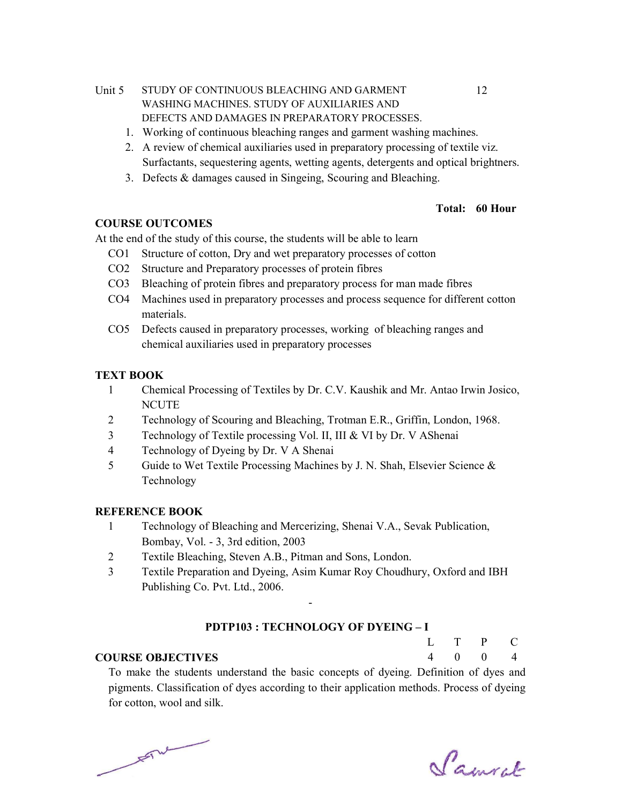- Unit 5 STUDY OF CONTINUOUS BLEACHING AND GARMENT WASHING MACHINES. STUDY OF AUXILIARIES AND DEFECTS AND DAMAGES IN PREPARATORY PROCESSES.
	- 1. Working of continuous bleaching ranges and garment washing machines.
	- 2. A review of chemical auxiliaries used in preparatory processing of textile viz. Surfactants, sequestering agents, wetting agents, detergents and optical brightners.
	- 3. Defects & damages caused in Singeing, Scouring and Bleaching.

#### Total: 60 Hour

## COURSE OUTCOMES

At the end of the study of this course, the students will be able to learn

- CO1 Structure of cotton, Dry and wet preparatory processes of cotton
- CO2 Structure and Preparatory processes of protein fibres
- CO3 Bleaching of protein fibres and preparatory process for man made fibres
- CO4 Machines used in preparatory processes and process sequence for different cotton materials.
- CO5 Defects caused in preparatory processes, working of bleaching ranges and chemical auxiliaries used in preparatory processes

## TEXT BOOK

- 1 Chemical Processing of Textiles by Dr. C.V. Kaushik and Mr. Antao Irwin Josico, **NCUTE**
- 2 Technology of Scouring and Bleaching, Trotman E.R., Griffin, London, 1968.
- 3 Technology of Textile processing Vol. II, III & VI by Dr. V AShenai
- 4 Technology of Dyeing by Dr. V A Shenai
- 5 Guide to Wet Textile Processing Machines by J. N. Shah, Elsevier Science & Technology

# REFERENCE BOOK

- 1 Technology of Bleaching and Mercerizing, Shenai V.A., Sevak Publication, Bombay, Vol. - 3, 3rd edition, 2003
- 2 Textile Bleaching, Steven A.B., Pitman and Sons, London.
- 3 Textile Preparation and Dyeing, Asim Kumar Roy Choudhury, Oxford and IBH Publishing Co. Pvt. Ltd., 2006.

-

#### PDTP103 : TECHNOLOGY OF DYEING – I

#### COURSE OBJECTIVES

 $L$ 4 T  $\Omega$ P  $\Omega$  $\mathcal{C}$ 4

 To make the students understand the basic concepts of dyeing. Definition of dyes and pigments. Classification of dyes according to their application methods. Process of dyeing for cotton, wool and silk.

 $F = \frac{1}{2}$ 

Samuel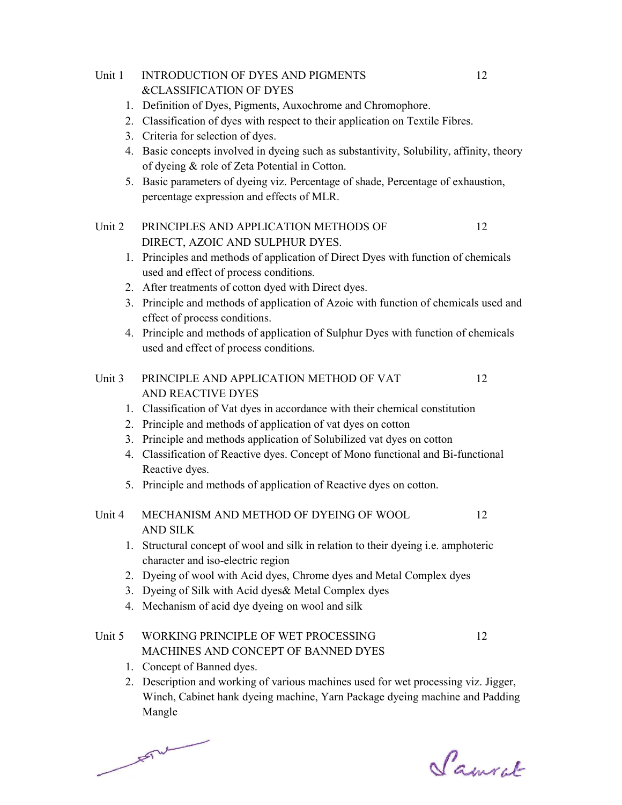#### Unit 1 INTRODUCTION OF DYES AND PIGMENTS &CLASSIFICATION OF DYES

- 1. Definition of Dyes, Pigments, Auxochrome and Chromophore.
- 2. Classification of dyes with respect to their application on Textile Fibres.
- 3. Criteria for selection of dyes.
- 4. Basic concepts involved in dyeing such as substantivity, Solubility, affinity, theory of dyeing & role of Zeta Potential in Cotton.
- 5. Basic parameters of dyeing viz. Percentage of shade, Percentage of exhaustion, percentage expression and effects of MLR.

#### Unit 2 PRINCIPLES AND APPLICATION METHODS OF DIRECT, AZOIC AND SULPHUR DYES. 12

- 1. Principles and methods of application of Direct Dyes with function of chemicals used and effect of process conditions.
- 2. After treatments of cotton dyed with Direct dyes.
- 3. Principle and methods of application of Azoic with function of chemicals used and effect of process conditions.
- 4. Principle and methods of application of Sulphur Dyes with function of chemicals used and effect of process conditions.

#### Unit 3 PRINCIPLE AND APPLICATION METHOD OF VAT AND REACTIVE DYES 12

- 1. Classification of Vat dyes in accordance with their chemical constitution
- 2. Principle and methods of application of vat dyes on cotton
- 3. Principle and methods application of Solubilized vat dyes on cotton
- 4. Classification of Reactive dyes. Concept of Mono functional and Bi-functional Reactive dyes.
- 5. Principle and methods of application of Reactive dyes on cotton.

#### Unit 4 MECHANISM AND METHOD OF DYEING OF WOOL AND SILK 12

- 1. Structural concept of wool and silk in relation to their dyeing i.e. amphoteric character and iso-electric region
- 2. Dyeing of wool with Acid dyes, Chrome dyes and Metal Complex dyes
- 3. Dyeing of Silk with Acid dyes& Metal Complex dyes
- 4. Mechanism of acid dye dyeing on wool and silk

#### Unit 5 WORKING PRINCIPLE OF WET PROCESSING MACHINES AND CONCEPT OF BANNED DYES 12

- 1. Concept of Banned dyes.
- 2. Description and working of various machines used for wet processing viz. Jigger, Winch, Cabinet hank dyeing machine, Yarn Package dyeing machine and Padding Mangle

 $F = \frac{1}{2}$ 

Samcel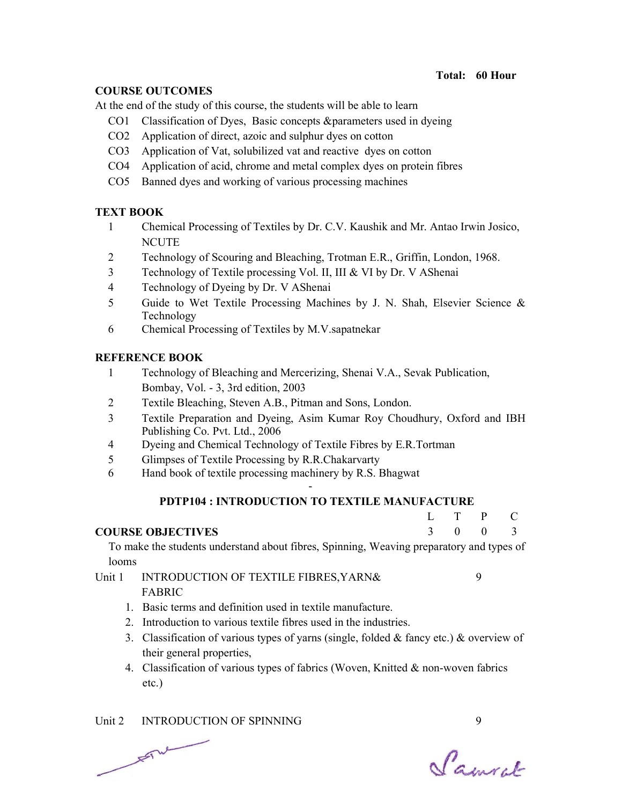## Total: 60 Hour

## COURSE OUTCOMES

At the end of the study of this course, the students will be able to learn

- CO1 Classification of Dyes, Basic concepts & parameters used in dyeing
- CO2 Application of direct, azoic and sulphur dyes on cotton
- CO3 Application of Vat, solubilized vat and reactive dyes on cotton
- CO4 Application of acid, chrome and metal complex dyes on protein fibres
- CO5 Banned dyes and working of various processing machines

## TEXT BOOK

- 1 Chemical Processing of Textiles by Dr. C.V. Kaushik and Mr. Antao Irwin Josico, **NCUTE**
- 2 Technology of Scouring and Bleaching, Trotman E.R., Griffin, London, 1968.
- 3 Technology of Textile processing Vol. II, III & VI by Dr. V AShenai
- 4 Technology of Dyeing by Dr. V AShenai
- 5 Guide to Wet Textile Processing Machines by J. N. Shah, Elsevier Science & Technology
- 6 Chemical Processing of Textiles by M.V.sapatnekar

## REFERENCE BOOK

- 1 Technology of Bleaching and Mercerizing, Shenai V.A., Sevak Publication, Bombay, Vol. - 3, 3rd edition, 2003
- 2 Textile Bleaching, Steven A.B., Pitman and Sons, London.
- 3 Textile Preparation and Dyeing, Asim Kumar Roy Choudhury, Oxford and IBH Publishing Co. Pvt. Ltd., 2006
- 4 Dyeing and Chemical Technology of Textile Fibres by E.R.Tortman
- 5 Glimpses of Textile Processing by R.R.Chakarvarty
- 6 Hand book of textile processing machinery by R.S. Bhagwat

# - PDTP104 : INTRODUCTION TO TEXTILE MANUFACTURE

| L | T        | $\mathbf{P}$ | C.             |
|---|----------|--------------|----------------|
| 3 | $\theta$ | $\theta$     | $\overline{3}$ |

9

## COURSE OBJECTIVES

 To make the students understand about fibres, Spinning, Weaving preparatory and types of looms

#### Unit 1 INTRODUCTION OF TEXTILE FIBRES, YARN& FABRIC

- 1. Basic terms and definition used in textile manufacture.
- 2. Introduction to various textile fibres used in the industries.
- 3. Classification of various types of yarns (single, folded  $&$  fancy etc.)  $&$  overview of their general properties,
- 4. Classification of various types of fabrics (Woven, Knitted & non-woven fabrics etc.)

Unit 2 INTRODUCTION OF SPINNING 9  $F^{\mu\nu}$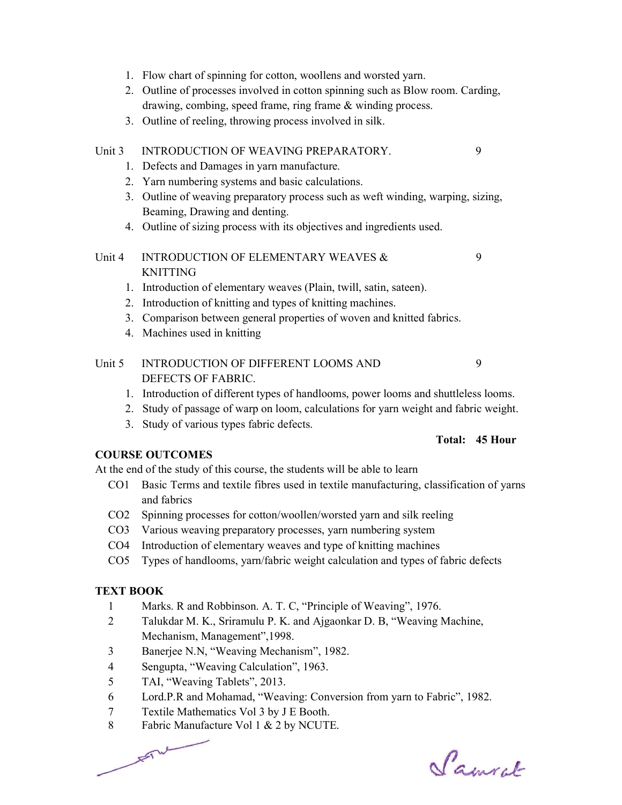- 1. Flow chart of spinning for cotton, woollens and worsted yarn.
- 2. Outline of processes involved in cotton spinning such as Blow room. Carding, drawing, combing, speed frame, ring frame & winding process.
- 3. Outline of reeling, throwing process involved in silk.

# Unit 3 INTRODUCTION OF WEAVING PREPARATORY. 9

- 1. Defects and Damages in yarn manufacture.
- 2. Yarn numbering systems and basic calculations.
- 3. Outline of weaving preparatory process such as weft winding, warping, sizing, Beaming, Drawing and denting.
- 4. Outline of sizing process with its objectives and ingredients used.

#### Unit 4 INTRODUCTION OF ELEMENTARY WEAVES & KNITTING 9

- 1. Introduction of elementary weaves (Plain, twill, satin, sateen).
- 2. Introduction of knitting and types of knitting machines.
- 3. Comparison between general properties of woven and knitted fabrics.
- 4. Machines used in knitting

#### Unit 5 INTRODUCTION OF DIFFERENT LOOMS AND DEFECTS OF FABRIC. 9

- 1. Introduction of different types of handlooms, power looms and shuttleless looms.
- 2. Study of passage of warp on loom, calculations for yarn weight and fabric weight.
- 3. Study of various types fabric defects.

#### Total: 45 Hour

#### COURSE OUTCOMES

At the end of the study of this course, the students will be able to learn

- CO1 Basic Terms and textile fibres used in textile manufacturing, classification of yarns and fabrics
- CO2 Spinning processes for cotton/woollen/worsted yarn and silk reeling
- CO3 Various weaving preparatory processes, yarn numbering system
- CO4 Introduction of elementary weaves and type of knitting machines
- CO5 Types of handlooms, yarn/fabric weight calculation and types of fabric defects

#### TEXT BOOK

- 1 Marks. R and Robbinson. A. T. C, "Principle of Weaving", 1976.
- 2 Talukdar M. K., Sriramulu P. K. and Ajgaonkar D. B, "Weaving Machine, Mechanism, Management",1998.
- 3 Banerjee N.N, "Weaving Mechanism", 1982.
- 4 Sengupta, "Weaving Calculation", 1963.
- 5 TAI, "Weaving Tablets", 2013.

 $F^{\mu\nu}$ 

- 6 Lord.P.R and Mohamad, "Weaving: Conversion from yarn to Fabric", 1982.
- 7 Textile Mathematics Vol 3 by J E Booth.
- 8 Fabric Manufacture Vol 1 & 2 by NCUTE.

Samcel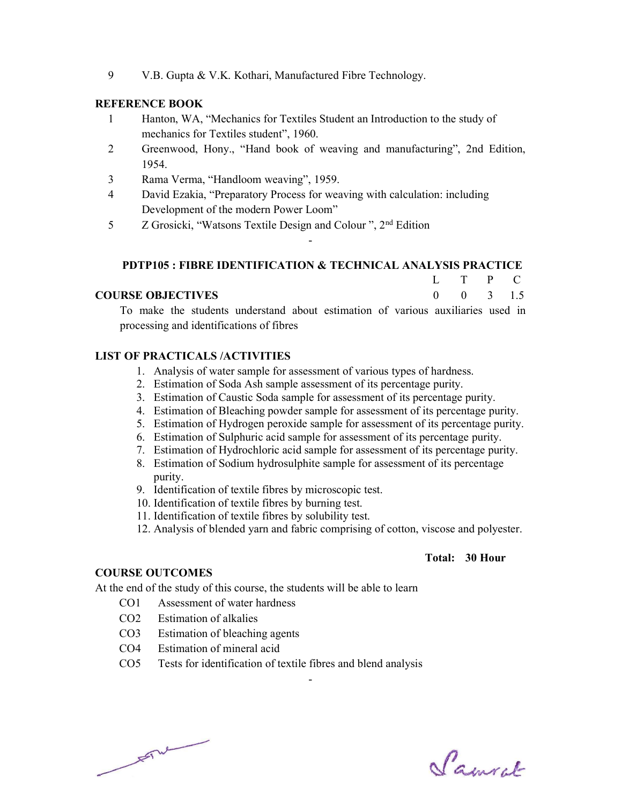9 V.B. Gupta & V.K. Kothari, Manufactured Fibre Technology.

#### REFERENCE BOOK

- 1 Hanton, WA, "Mechanics for Textiles Student an Introduction to the study of mechanics for Textiles student", 1960.
- 2 Greenwood, Hony., "Hand book of weaving and manufacturing", 2nd Edition, 1954.
- 3 Rama Verma, "Handloom weaving", 1959.
- 4 David Ezakia, "Preparatory Process for weaving with calculation: including Development of the modern Power Loom"
- 5 Z Grosicki, "Watsons Textile Design and Colour ", 2nd Edition

#### PDTP105 : FIBRE IDENTIFICATION & TECHNICAL ANALYSIS PRACTICE

-

|                          | L T P C              |  |  |
|--------------------------|----------------------|--|--|
| <b>COURSE OBJECTIVES</b> | $0 \t 0 \t 3 \t 1.5$ |  |  |

 To make the students understand about estimation of various auxiliaries used in processing and identifications of fibres

#### LIST OF PRACTICALS /ACTIVITIES

- 1. Analysis of water sample for assessment of various types of hardness.
- 2. Estimation of Soda Ash sample assessment of its percentage purity.
- 3. Estimation of Caustic Soda sample for assessment of its percentage purity.
- 4. Estimation of Bleaching powder sample for assessment of its percentage purity.
- 5. Estimation of Hydrogen peroxide sample for assessment of its percentage purity.
- 6. Estimation of Sulphuric acid sample for assessment of its percentage purity.
- 7. Estimation of Hydrochloric acid sample for assessment of its percentage purity.
- 8. Estimation of Sodium hydrosulphite sample for assessment of its percentage purity.
- 9. Identification of textile fibres by microscopic test.
- 10. Identification of textile fibres by burning test.
- 11. Identification of textile fibres by solubility test.
- 12. Analysis of blended yarn and fabric comprising of cotton, viscose and polyester.

#### Total: 30 Hour

## COURSE OUTCOMES

At the end of the study of this course, the students will be able to learn

- CO1 Assessment of water hardness
- CO2 Estimation of alkalies
- CO3 Estimation of bleaching agents
- CO4 Estimation of mineral acid
- CO5 Tests for identification of textile fibres and blend analysis

 $\frac{1}{\sqrt{2}}$ 

Samuel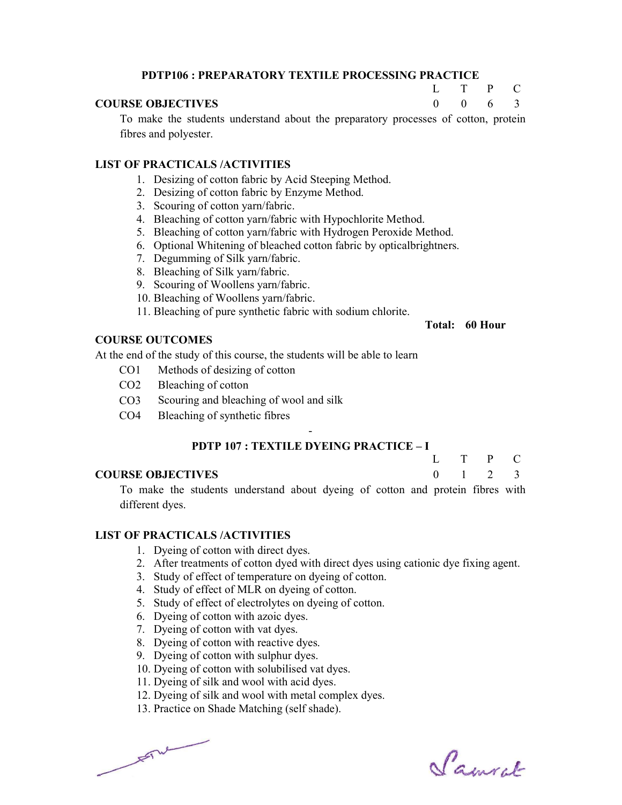## PDTP106 : PREPARATORY TEXTILE PROCESSING PRACTICE

#### COURSE OBJECTIVES

 To make the students understand about the preparatory processes of cotton, protein fibres and polyester.

#### LIST OF PRACTICALS /ACTIVITIES

- 1. Desizing of cotton fabric by Acid Steeping Method.
- 2. Desizing of cotton fabric by Enzyme Method.
- 3. Scouring of cotton yarn/fabric.
- 4. Bleaching of cotton yarn/fabric with Hypochlorite Method.
- 5. Bleaching of cotton yarn/fabric with Hydrogen Peroxide Method.
- 6. Optional Whitening of bleached cotton fabric by opticalbrightners.
- 7. Degumming of Silk yarn/fabric.
- 8. Bleaching of Silk yarn/fabric.
- 9. Scouring of Woollens yarn/fabric.
- 10. Bleaching of Woollens yarn/fabric.
- 11. Bleaching of pure synthetic fabric with sodium chlorite.

#### Total: 60 Hour

 $L$  $\theta$ 

T  $\Omega$ 

P 6 C 3

## COURSE OUTCOMES

At the end of the study of this course, the students will be able to learn

- CO1 Methods of desizing of cotton
- CO2 Bleaching of cotton
- CO3 Scouring and bleaching of wool and silk
- CO4 Bleaching of synthetic fibres

# - PDTP 107 : TEXTILE DYEING PRACTICE – I

| Ι.       | T | $\mathbf{P}$ | C.             |
|----------|---|--------------|----------------|
| $\theta$ |   | - 2          | $\overline{3}$ |
|          |   |              |                |

#### COURSE OBJECTIVES

 To make the students understand about dyeing of cotton and protein fibres with different dyes.

#### LIST OF PRACTICALS /ACTIVITIES

- 1. Dyeing of cotton with direct dyes.
- 2. After treatments of cotton dyed with direct dyes using cationic dye fixing agent.
- 3. Study of effect of temperature on dyeing of cotton.
- 4. Study of effect of MLR on dyeing of cotton.
- 5. Study of effect of electrolytes on dyeing of cotton.
- 6. Dyeing of cotton with azoic dyes.
- 7. Dyeing of cotton with vat dyes.
- 8. Dyeing of cotton with reactive dyes.
- 9. Dyeing of cotton with sulphur dyes.
- 10. Dyeing of cotton with solubilised vat dyes.
- 11. Dyeing of silk and wool with acid dyes.
- 12. Dyeing of silk and wool with metal complex dyes.
- 13. Practice on Shade Matching (self shade).

 $F = \frac{1}{2}$ 

Samuel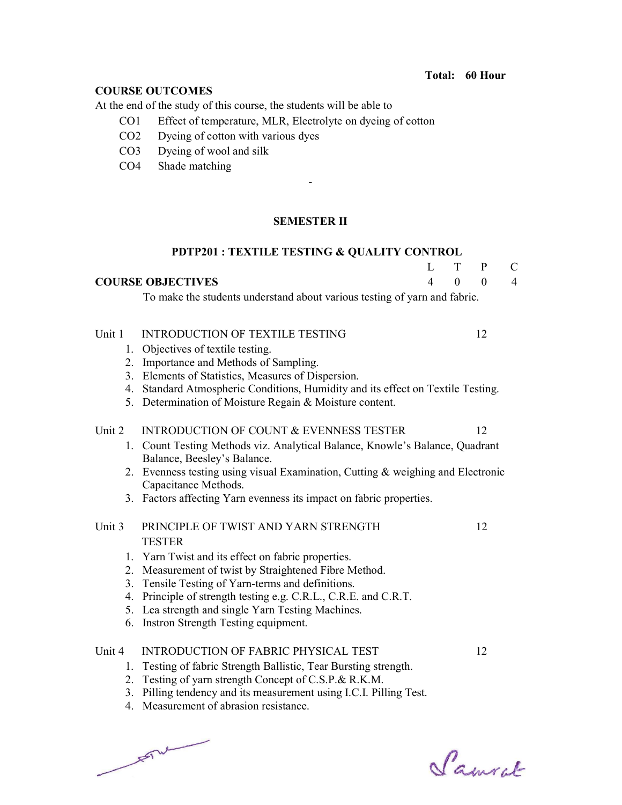# COURSE OUTCOMES

At the end of the study of this course, the students will be able to

- CO1 Effect of temperature, MLR, Electrolyte on dyeing of cotton
- CO2 Dyeing of cotton with various dyes
- CO3 Dyeing of wool and silk
- CO4 Shade matching

## SEMESTER II

|        | <b>PDTP201: TEXTILE TESTING &amp; QUALITY CONTROL</b>                           |                |          |              |                |
|--------|---------------------------------------------------------------------------------|----------------|----------|--------------|----------------|
|        |                                                                                 | L              | T        | $\mathbf{P}$ | $\mathbf C$    |
|        | <b>COURSE OBJECTIVES</b>                                                        | $\overline{4}$ | $\theta$ | $\mathbf{0}$ | $\overline{4}$ |
|        | To make the students understand about various testing of yarn and fabric.       |                |          |              |                |
| Unit 1 | <b>INTRODUCTION OF TEXTILE TESTING</b>                                          |                |          | 12           |                |
|        | 1. Objectives of textile testing.                                               |                |          |              |                |
|        | 2. Importance and Methods of Sampling.                                          |                |          |              |                |
|        | 3. Elements of Statistics, Measures of Dispersion.                              |                |          |              |                |
|        | 4. Standard Atmospheric Conditions, Humidity and its effect on Textile Testing. |                |          |              |                |
|        | 5. Determination of Moisture Regain & Moisture content.                         |                |          |              |                |
| Unit 2 | <b>INTRODUCTION OF COUNT &amp; EVENNESS TESTER</b>                              |                |          | 12           |                |
|        | 1. Count Testing Methods viz. Analytical Balance, Knowle's Balance, Quadrant    |                |          |              |                |
|        | Balance, Beesley's Balance.                                                     |                |          |              |                |
|        | 2. Evenness testing using visual Examination, Cutting & weighing and Electronic |                |          |              |                |
|        | Capacitance Methods.                                                            |                |          |              |                |
|        | 3. Factors affecting Yarn evenness its impact on fabric properties.             |                |          |              |                |
| Unit 3 | PRINCIPLE OF TWIST AND YARN STRENGTH                                            |                |          | 12           |                |
|        | <b>TESTER</b>                                                                   |                |          |              |                |
|        | 1. Yarn Twist and its effect on fabric properties.                              |                |          |              |                |
| 2.     | Measurement of twist by Straightened Fibre Method.                              |                |          |              |                |
| 3.     | Tensile Testing of Yarn-terms and definitions.                                  |                |          |              |                |
| 4.     | Principle of strength testing e.g. C.R.L., C.R.E. and C.R.T.                    |                |          |              |                |
|        | 5. Lea strength and single Yarn Testing Machines.                               |                |          |              |                |
| 6.     | Instron Strength Testing equipment.                                             |                |          |              |                |
| Unit 4 | <b>INTRODUCTION OF FABRIC PHYSICAL TEST</b>                                     |                |          | 12           |                |
|        | 1. Testing of fabric Strength Ballistic, Tear Bursting strength.                |                |          |              |                |
| 2.     | Testing of yarn strength Concept of C.S.P.& R.K.M.                              |                |          |              |                |
| 3.     | Pilling tendency and its measurement using I.C.I. Pilling Test.                 |                |          |              |                |
|        | 4. Measurement of abrasion resistance.                                          |                |          |              |                |

 $\frac{1}{\sqrt{2}}$  where  $\frac{1}{\sqrt{2}}$ 

Samuel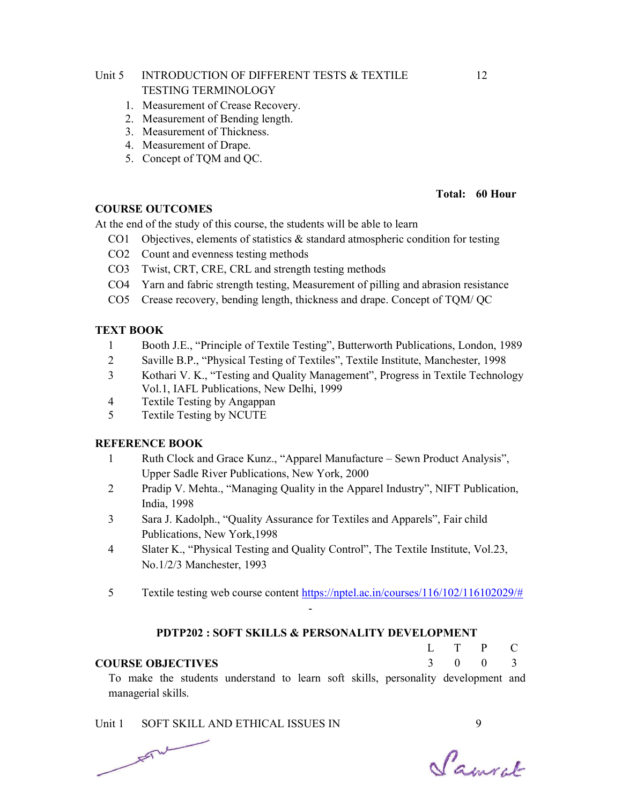# Unit 5 INTRODUCTION OF DIFFERENT TESTS & TEXTILE TESTING TERMINOLOGY

- 1. Measurement of Crease Recovery.
- 2. Measurement of Bending length.
- 3. Measurement of Thickness.
- 4. Measurement of Drape.
- 5. Concept of TQM and QC.

#### Total: 60 Hour

#### COURSE OUTCOMES

At the end of the study of this course, the students will be able to learn

- CO1 Objectives, elements of statistics  $\&$  standard atmospheric condition for testing
- CO2 Count and evenness testing methods
- CO3 Twist, CRT, CRE, CRL and strength testing methods
- CO4 Yarn and fabric strength testing, Measurement of pilling and abrasion resistance
- CO5 Crease recovery, bending length, thickness and drape. Concept of TQM/ QC

#### TEXT BOOK

- 1 Booth J.E., "Principle of Textile Testing", Butterworth Publications, London, 1989
- 2 Saville B.P., "Physical Testing of Textiles", Textile Institute, Manchester, 1998
- 3 Kothari V. K., "Testing and Quality Management", Progress in Textile Technology Vol.1, IAFL Publications, New Delhi, 1999
- 4 Textile Testing by Angappan
- 5 Textile Testing by NCUTE

#### REFERENCE BOOK

- 1 Ruth Clock and Grace Kunz., "Apparel Manufacture Sewn Product Analysis", Upper Sadle River Publications, New York, 2000
- 2 Pradip V. Mehta., "Managing Quality in the Apparel Industry", NIFT Publication, India, 1998
- 3 Sara J. Kadolph., "Quality Assurance for Textiles and Apparels", Fair child Publications, New York,1998
- 4 Slater K., "Physical Testing and Quality Control", The Textile Institute, Vol.23, No.1/2/3 Manchester, 1993
- 5 Textile testing web course content https://nptel.ac.in/courses/116/102/116102029/# -

#### PDTP202 : SOFT SKILLS & PERSONALITY DEVELOPMENT

#### COURSE OBJECTIVES

 To make the students understand to learn soft skills, personality development and managerial skills.

Unit 1 SOFT SKILL AND ETHICAL ISSUES IN 9  $F^{\mu\nu}$ 

P  $\Omega$  C 3

 $L$ 3

T  $\Omega$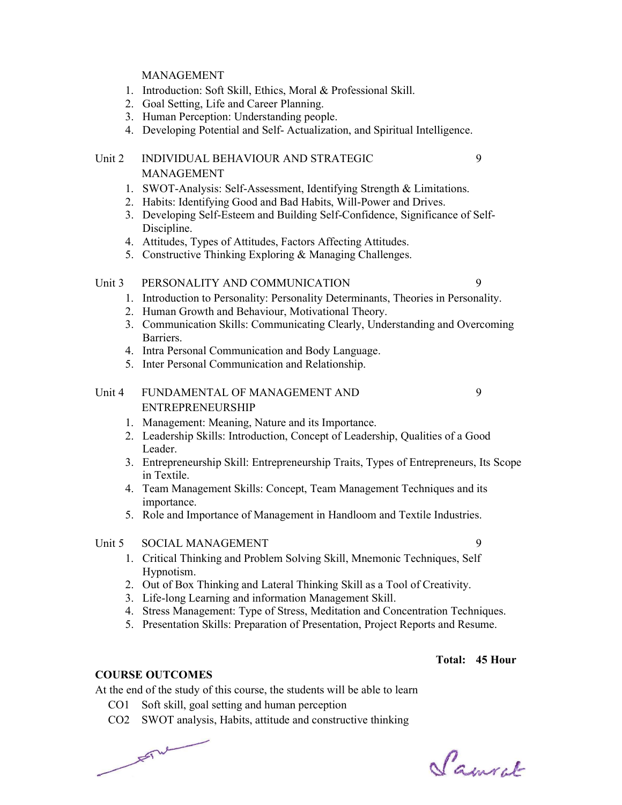#### MANAGEMENT

- 1. Introduction: Soft Skill, Ethics, Moral & Professional Skill.
- 2. Goal Setting, Life and Career Planning.
- 3. Human Perception: Understanding people.
- 4. Developing Potential and Self- Actualization, and Spiritual Intelligence.

## Unit 2 INDIVIDUAL BEHAVIOUR AND STRATEGIC MANAGEMENT

- 1. SWOT-Analysis: Self-Assessment, Identifying Strength & Limitations.
- 2. Habits: Identifying Good and Bad Habits, Will-Power and Drives.
- 3. Developing Self-Esteem and Building Self-Confidence, Significance of Self-Discipline.
- 4. Attitudes, Types of Attitudes, Factors Affecting Attitudes.
- 5. Constructive Thinking Exploring & Managing Challenges.

#### Unit 3 PERSONALITY AND COMMUNICATION 9

- 1. Introduction to Personality: Personality Determinants, Theories in Personality.
- 2. Human Growth and Behaviour, Motivational Theory.
- 3. Communication Skills: Communicating Clearly, Understanding and Overcoming Barriers.
- 4. Intra Personal Communication and Body Language.
- 5. Inter Personal Communication and Relationship.

# Unit 4 FUNDAMENTAL OF MANAGEMENT AND ENTREPRENEURSHIP

- 1. Management: Meaning, Nature and its Importance.
- 2. Leadership Skills: Introduction, Concept of Leadership, Qualities of a Good Leader.
- 3. Entrepreneurship Skill: Entrepreneurship Traits, Types of Entrepreneurs, Its Scope in Textile.
- 4. Team Management Skills: Concept, Team Management Techniques and its importance.
- 5. Role and Importance of Management in Handloom and Textile Industries.

# Unit 5 SOCIAL MANAGEMENT 9

- 1. Critical Thinking and Problem Solving Skill, Mnemonic Techniques, Self Hypnotism.
- 2. Out of Box Thinking and Lateral Thinking Skill as a Tool of Creativity.
- 3. Life-long Learning and information Management Skill.
- 4. Stress Management: Type of Stress, Meditation and Concentration Techniques.
- 5. Presentation Skills: Preparation of Presentation, Project Reports and Resume.

# Total: 45 Hour

#### COURSE OUTCOMES

At the end of the study of this course, the students will be able to learn

- CO1 Soft skill, goal setting and human perception
- CO2 SWOT analysis, Habits, attitude and constructive thinking

Samuel

 $F = \frac{1}{2}$ 

9

9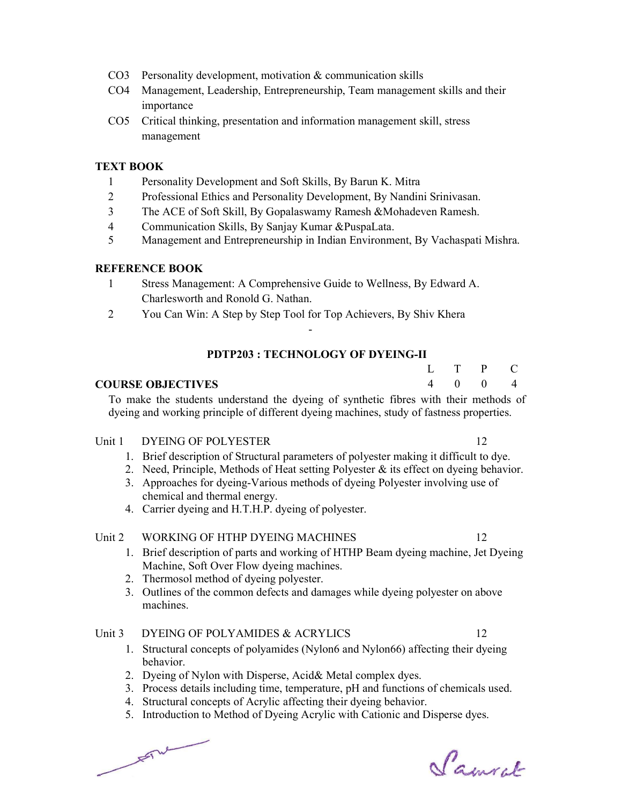- CO3 Personality development, motivation & communication skills
- CO4 Management, Leadership, Entrepreneurship, Team management skills and their importance
- CO5 Critical thinking, presentation and information management skill, stress management

## TEXT BOOK

- 1 Personality Development and Soft Skills, By Barun K. Mitra
- 2 Professional Ethics and Personality Development, By Nandini Srinivasan.
- 3 The ACE of Soft Skill, By Gopalaswamy Ramesh &Mohadeven Ramesh.
- 4 Communication Skills, By Sanjay Kumar &PuspaLata.
- 5 Management and Entrepreneurship in Indian Environment, By Vachaspati Mishra.

## REFERENCE BOOK

- 1 Stress Management: A Comprehensive Guide to Wellness, By Edward A. Charlesworth and Ronold G. Nathan.
- 2 You Can Win: A Step by Step Tool for Top Achievers, By Shiv Khera

# PDTP203 : TECHNOLOGY OF DYEING-II

-

#### COURSE OBJECTIVES

 To make the students understand the dyeing of synthetic fibres with their methods of dyeing and working principle of different dyeing machines, study of fastness properties.

#### Unit 1 DYEING OF POLYESTER 12

- 1. Brief description of Structural parameters of polyester making it difficult to dye.
- 2. Need, Principle, Methods of Heat setting Polyester & its effect on dyeing behavior.
- 3. Approaches for dyeing-Various methods of dyeing Polyester involving use of chemical and thermal energy.
- 4. Carrier dyeing and H.T.H.P. dyeing of polyester.

# Unit 2 WORKING OF HTHP DYEING MACHINES 12

- 1. Brief description of parts and working of HTHP Beam dyeing machine, Jet Dyeing Machine, Soft Over Flow dyeing machines.
- 2. Thermosol method of dyeing polyester.
- 3. Outlines of the common defects and damages while dyeing polyester on above machines.

#### Unit 3 DYEING OF POLYAMIDES & ACRYLICS 12

- 1. Structural concepts of polyamides (Nylon6 and Nylon66) affecting their dyeing behavior.
- 2. Dyeing of Nylon with Disperse, Acid& Metal complex dyes.
- 3. Process details including time, temperature, pH and functions of chemicals used.
- 4. Structural concepts of Acrylic affecting their dyeing behavior.
- 5. Introduction to Method of Dyeing Acrylic with Cationic and Disperse dyes.

 $F = mc$ 

Samcel

P  $\Omega$  C 4

 $L$ 4 T  $\Omega$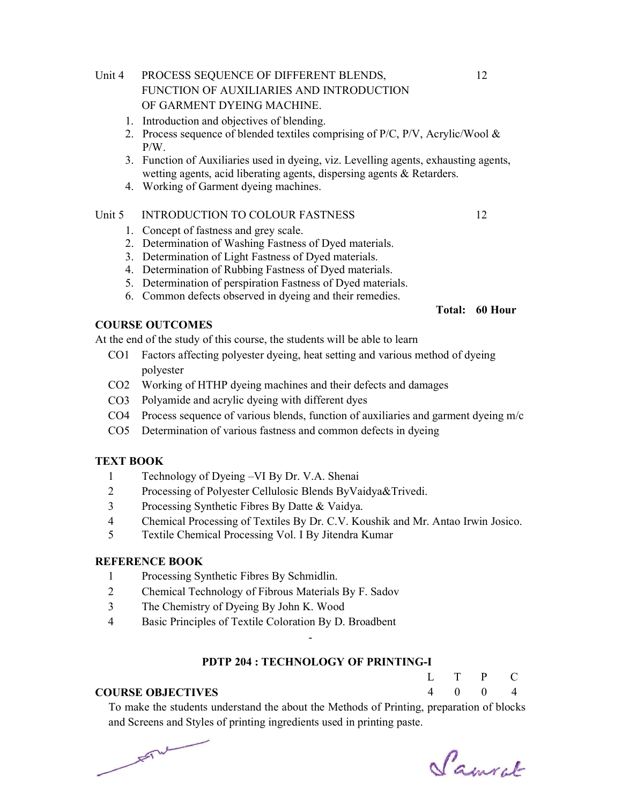# Unit 4 PROCESS SEQUENCE OF DIFFERENT BLENDS, FUNCTION OF AUXILIARIES AND INTRODUCTION OF GARMENT DYEING MACHINE.

- 1. Introduction and objectives of blending.
- 2. Process sequence of blended textiles comprising of  $P/C$ ,  $P/V$ , Acrylic/Wool & P/W.
- 3. Function of Auxiliaries used in dyeing, viz. Levelling agents, exhausting agents, wetting agents, acid liberating agents, dispersing agents & Retarders.
- 4. Working of Garment dyeing machines.

#### Unit 5 INTRODUCTION TO COLOUR FASTNESS 12

- 1. Concept of fastness and grey scale.
- 2. Determination of Washing Fastness of Dyed materials.
- 3. Determination of Light Fastness of Dyed materials.
- 4. Determination of Rubbing Fastness of Dyed materials.
- 5. Determination of perspiration Fastness of Dyed materials.
- 6. Common defects observed in dyeing and their remedies.

#### COURSE OUTCOMES

At the end of the study of this course, the students will be able to learn

- CO1 Factors affecting polyester dyeing, heat setting and various method of dyeing polyester
- CO2 Working of HTHP dyeing machines and their defects and damages
- CO3 Polyamide and acrylic dyeing with different dyes
- CO4 Process sequence of various blends, function of auxiliaries and garment dyeing  $m/c$
- CO5 Determination of various fastness and common defects in dyeing

## TEXT BOOK

- 1 Technology of Dyeing –VI By Dr. V.A. Shenai
- 2 Processing of Polyester Cellulosic Blends ByVaidya&Trivedi.
- 3 Processing Synthetic Fibres By Datte & Vaidya.
- 4 Chemical Processing of Textiles By Dr. C.V. Koushik and Mr. Antao Irwin Josico.
- 5 Textile Chemical Processing Vol. I By Jitendra Kumar

#### REFERENCE BOOK

- 1 Processing Synthetic Fibres By Schmidlin.
- 2 Chemical Technology of Fibrous Materials By F. Sadov
- 3 The Chemistry of Dyeing By John K. Wood
- 4 Basic Principles of Textile Coloration By D. Broadbent

## PDTP 204 : TECHNOLOGY OF PRINTING-I

-

#### COURSE OBJECTIVES

4  $\Omega$  $\Omega$ 4

T

 $L$ 

 To make the students understand the about the Methods of Printing, preparation of blocks and Screens and Styles of printing ingredients used in printing paste.

 $F^{\mu\nu}$ 

Samcel

P

 $\mathcal{C}$ 

Total: 60 Hour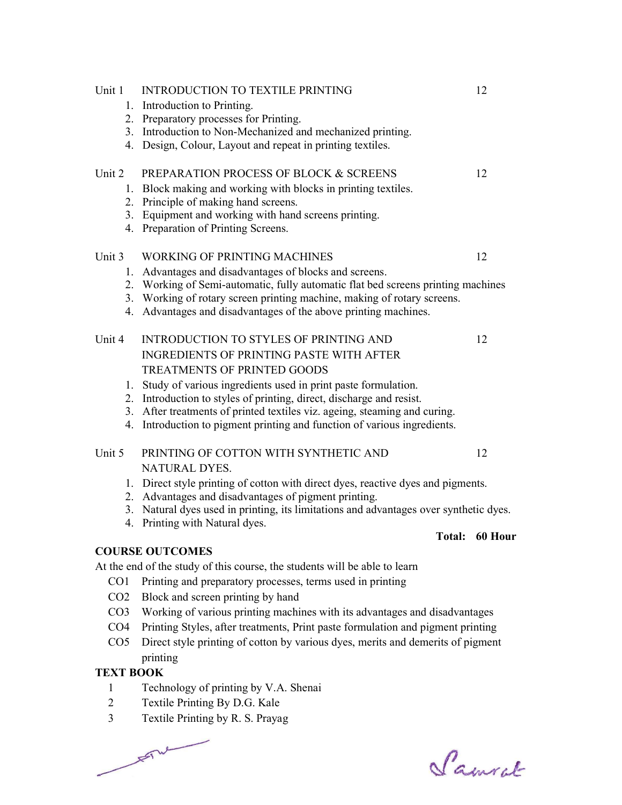| <b>TEXT BOOK</b> |                                                                                                                                                                                                                                |         |
|------------------|--------------------------------------------------------------------------------------------------------------------------------------------------------------------------------------------------------------------------------|---------|
|                  | printing                                                                                                                                                                                                                       |         |
| CO <sub>5</sub>  | Direct style printing of cotton by various dyes, merits and demerits of pigment                                                                                                                                                |         |
| CO <sub>4</sub>  | Printing Styles, after treatments, Print paste formulation and pigment printing                                                                                                                                                |         |
| CO <sub>3</sub>  | Working of various printing machines with its advantages and disadvantages                                                                                                                                                     |         |
| CO <sub>2</sub>  | Block and screen printing by hand                                                                                                                                                                                              |         |
| CO1              | Printing and preparatory processes, terms used in printing                                                                                                                                                                     |         |
|                  | At the end of the study of this course, the students will be able to learn                                                                                                                                                     |         |
|                  | <b>COURSE OUTCOMES</b>                                                                                                                                                                                                         |         |
|                  | Total:                                                                                                                                                                                                                         | 60 Hour |
| 4.               | 3. Natural dyes used in printing, its limitations and advantages over synthetic dyes.<br>Printing with Natural dyes.                                                                                                           |         |
|                  | 2. Advantages and disadvantages of pigment printing.                                                                                                                                                                           |         |
|                  | 1. Direct style printing of cotton with direct dyes, reactive dyes and pigments.                                                                                                                                               |         |
|                  | NATURAL DYES.                                                                                                                                                                                                                  |         |
| Unit 5           | PRINTING OF COTTON WITH SYNTHETIC AND                                                                                                                                                                                          | 12      |
| 4.               | 2. Introduction to styles of printing, direct, discharge and resist.<br>3. After treatments of printed textiles viz. ageing, steaming and curing.<br>Introduction to pigment printing and function of various ingredients.     |         |
| 1.               | Study of various ingredients used in print paste formulation.                                                                                                                                                                  |         |
|                  | TREATMENTS OF PRINTED GOODS                                                                                                                                                                                                    |         |
| Unit 4           | INTRODUCTION TO STYLES OF PRINTING AND<br><b>INGREDIENTS OF PRINTING PASTE WITH AFTER</b>                                                                                                                                      | 12      |
|                  | 2. Working of Semi-automatic, fully automatic flat bed screens printing machines<br>3. Working of rotary screen printing machine, making of rotary screens.<br>4. Advantages and disadvantages of the above printing machines. |         |
|                  | 1. Advantages and disadvantages of blocks and screens.                                                                                                                                                                         |         |
| Unit 3           | <b>WORKING OF PRINTING MACHINES</b>                                                                                                                                                                                            | 12      |
|                  | 4. Preparation of Printing Screens.                                                                                                                                                                                            |         |
|                  | 2. Principle of making hand screens.<br>3. Equipment and working with hand screens printing.                                                                                                                                   |         |
|                  | 1. Block making and working with blocks in printing textiles.                                                                                                                                                                  |         |
| Unit 2           | PREPARATION PROCESS OF BLOCK & SCREENS                                                                                                                                                                                         | 12      |
| 4.               | Design, Colour, Layout and repeat in printing textiles.                                                                                                                                                                        |         |
|                  | 3. Introduction to Non-Mechanized and mechanized printing.                                                                                                                                                                     |         |
|                  | 2. Preparatory processes for Printing.                                                                                                                                                                                         |         |
|                  | 1. Introduction to Printing.                                                                                                                                                                                                   |         |
| Unit 1           | <b>INTRODUCTION TO TEXTILE PRINTING</b>                                                                                                                                                                                        | 12      |

- 1 Technology of printing by V.A. Shenai
- 2 Textile Printing By D.G. Kale
- 3 Textile Printing by R. S. Prayag

 $\frac{1}{\sqrt{2}}$ 

Samuel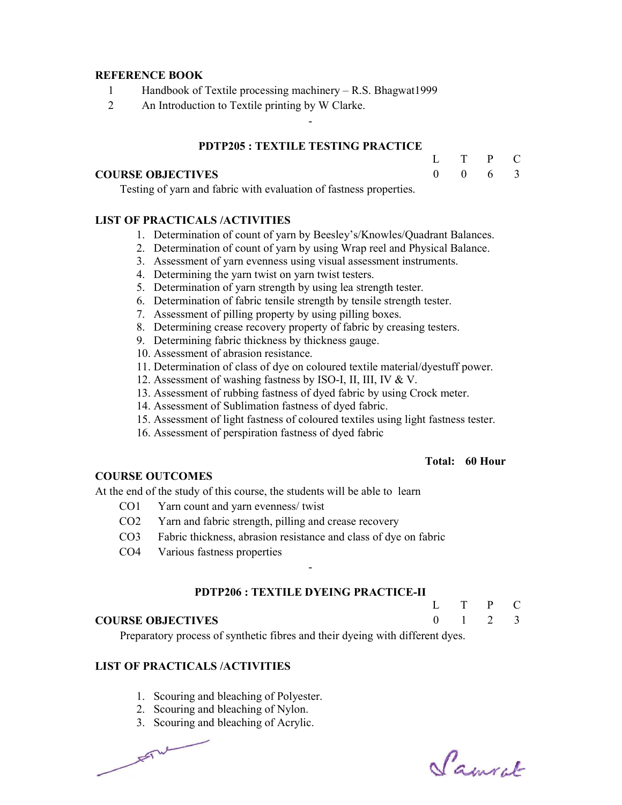#### REFERENCE BOOK

- 1 Handbook of Textile processing machinery R.S. Bhagwat1999
- 2 An Introduction to Textile printing by W Clarke.

#### PDTP205 : TEXTILE TESTING PRACTICE

-

#### COURSE OBJECTIVES

Testing of yarn and fabric with evaluation of fastness properties.

#### LIST OF PRACTICALS /ACTIVITIES

- 1. Determination of count of yarn by Beesley's/Knowles/Quadrant Balances.
- 2. Determination of count of yarn by using Wrap reel and Physical Balance.
- 3. Assessment of yarn evenness using visual assessment instruments.
- 4. Determining the yarn twist on yarn twist testers.
- 5. Determination of yarn strength by using lea strength tester.
- 6. Determination of fabric tensile strength by tensile strength tester.
- 7. Assessment of pilling property by using pilling boxes.
- 8. Determining crease recovery property of fabric by creasing testers.
- 9. Determining fabric thickness by thickness gauge.
- 10. Assessment of abrasion resistance.
- 11. Determination of class of dye on coloured textile material/dyestuff power.
- 12. Assessment of washing fastness by ISO-I, II, III, IV & V.
- 13. Assessment of rubbing fastness of dyed fabric by using Crock meter.
- 14. Assessment of Sublimation fastness of dyed fabric.
- 15. Assessment of light fastness of coloured textiles using light fastness tester.
- 16. Assessment of perspiration fastness of dyed fabric

#### Total: 60 Hour

L  $\Omega$  T 1 P  $\mathcal{L}$  C 3

 $\mathbf{L}$  $\theta$  T  $\Omega$  P 6 C 3

#### COURSE OUTCOMES

At the end of the study of this course, the students will be able to learn

- CO1 Yarn count and yarn evenness/ twist
- CO2 Yarn and fabric strength, pilling and crease recovery
- CO3 Fabric thickness, abrasion resistance and class of dye on fabric
- CO4 Various fastness properties

#### PDTP206 : TEXTILE DYEING PRACTICE-II

-

#### COURSE OBJECTIVES

Preparatory process of synthetic fibres and their dyeing with different dyes.

#### LIST OF PRACTICALS /ACTIVITIES

- 1. Scouring and bleaching of Polyester.
- 2. Scouring and bleaching of Nylon.
- 3. Scouring and bleaching of Acrylic.

 $F_{\text{max}}$ 

Samuel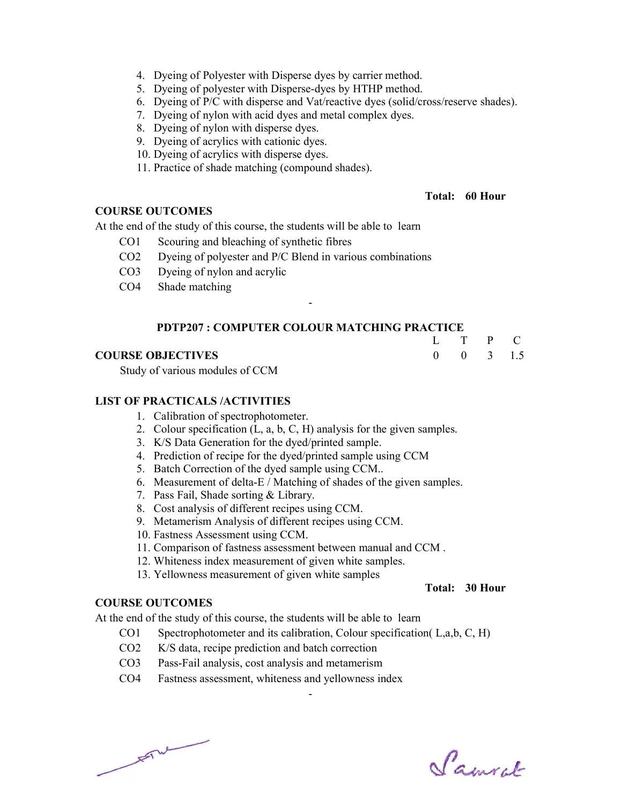- 4. Dyeing of Polyester with Disperse dyes by carrier method.
- 5. Dyeing of polyester with Disperse-dyes by HTHP method.
- 6. Dyeing of P/C with disperse and Vat/reactive dyes (solid/cross/reserve shades).
- 7. Dyeing of nylon with acid dyes and metal complex dyes.
- 8. Dyeing of nylon with disperse dyes.
- 9. Dyeing of acrylics with cationic dyes.
- 10. Dyeing of acrylics with disperse dyes.
- 11. Practice of shade matching (compound shades).

#### Total: 60 Hour

L T  $\Omega$ 

 $\mathbf{0}$ 

P 3

C 1.5

#### COURSE OUTCOMES

At the end of the study of this course, the students will be able to learn

- CO1 Scouring and bleaching of synthetic fibres
- CO2 Dyeing of polyester and P/C Blend in various combinations
- CO3 Dyeing of nylon and acrylic
- CO4 Shade matching

#### PDTP207 : COMPUTER COLOUR MATCHING PRACTICE

-

#### COURSE OBJECTIVES

Study of various modules of CCM

#### LIST OF PRACTICALS /ACTIVITIES

- 1. Calibration of spectrophotometer.
- 2. Colour specification (L, a, b, C, H) analysis for the given samples.
- 3. K/S Data Generation for the dyed/printed sample.
- 4. Prediction of recipe for the dyed/printed sample using CCM
- 5. Batch Correction of the dyed sample using CCM..
- 6. Measurement of delta-E / Matching of shades of the given samples.
- 7. Pass Fail, Shade sorting & Library.
- 8. Cost analysis of different recipes using CCM.
- 9. Metamerism Analysis of different recipes using CCM.
- 10. Fastness Assessment using CCM.
- 11. Comparison of fastness assessment between manual and CCM .
- 12. Whiteness index measurement of given white samples.
- 13. Yellowness measurement of given white samples

# Total: 30 Hour

# COURSE OUTCOMES

At the end of the study of this course, the students will be able to learn

CO1 Spectrophotometer and its calibration, Colour specification( L,a,b, C, H)

- CO2 K/S data, recipe prediction and batch correction
- CO3 Pass-Fail analysis, cost analysis and metamerism
- CO4 Fastness assessment, whiteness and yellowness index

 $F = \frac{1}{2}$ 

Samuel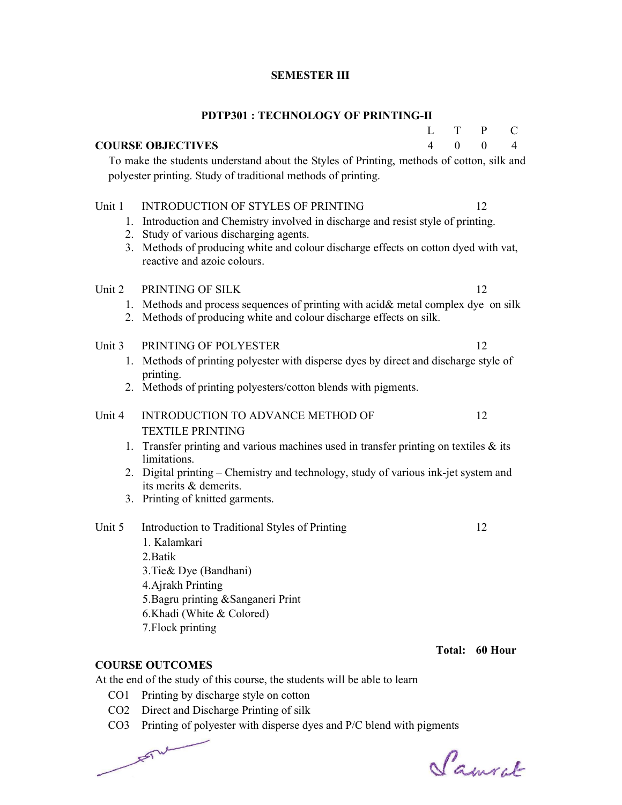# SEMESTER III

|                                            | <b>PDTP301: TECHNOLOGY OF PRINTING-II</b>                                                                                                                                                                                                          |   |               |              |                |
|--------------------------------------------|----------------------------------------------------------------------------------------------------------------------------------------------------------------------------------------------------------------------------------------------------|---|---------------|--------------|----------------|
|                                            |                                                                                                                                                                                                                                                    | L | T             | $\mathbf{P}$ | C              |
| $\overline{4}$<br><b>COURSE OBJECTIVES</b> |                                                                                                                                                                                                                                                    |   | $\theta$      | $\theta$     | $\overline{4}$ |
|                                            | To make the students understand about the Styles of Printing, methods of cotton, silk and<br>polyester printing. Study of traditional methods of printing.                                                                                         |   |               |              |                |
| Unit 1                                     | <b>INTRODUCTION OF STYLES OF PRINTING</b>                                                                                                                                                                                                          |   |               | 12           |                |
|                                            | 1. Introduction and Chemistry involved in discharge and resist style of printing.<br>2. Study of various discharging agents.<br>3. Methods of producing white and colour discharge effects on cotton dyed with vat,<br>reactive and azoic colours. |   |               |              |                |
| Unit 2                                     | PRINTING OF SILK                                                                                                                                                                                                                                   |   |               | 12           |                |
|                                            | 1. Methods and process sequences of printing with acid& metal complex dye on silk<br>2. Methods of producing white and colour discharge effects on silk.                                                                                           |   |               |              |                |
| Unit 3                                     | PRINTING OF POLYESTER                                                                                                                                                                                                                              |   |               | 12           |                |
|                                            | 1. Methods of printing polyester with disperse dyes by direct and discharge style of                                                                                                                                                               |   |               |              |                |
|                                            | printing.<br>2. Methods of printing polyesters/cotton blends with pigments.                                                                                                                                                                        |   |               |              |                |
| Unit 4                                     | <b>INTRODUCTION TO ADVANCE METHOD OF</b>                                                                                                                                                                                                           |   |               | 12           |                |
|                                            | <b>TEXTILE PRINTING</b>                                                                                                                                                                                                                            |   |               |              |                |
|                                            | 1. Transfer printing and various machines used in transfer printing on textiles $\&$ its<br>limitations.                                                                                                                                           |   |               |              |                |
|                                            | 2. Digital printing – Chemistry and technology, study of various ink-jet system and<br>its merits & demerits.                                                                                                                                      |   |               |              |                |
|                                            | 3. Printing of knitted garments.                                                                                                                                                                                                                   |   |               |              |                |
| Unit 5                                     | Introduction to Traditional Styles of Printing                                                                                                                                                                                                     |   |               | 12           |                |
|                                            | 1. Kalamkari                                                                                                                                                                                                                                       |   |               |              |                |
|                                            | 2. Batik                                                                                                                                                                                                                                           |   |               |              |                |
|                                            | 3. Tie & Dye (Bandhani)                                                                                                                                                                                                                            |   |               |              |                |
|                                            | 4. Ajrakh Printing<br>5. Bagru printing & Sanganeri Print                                                                                                                                                                                          |   |               |              |                |
|                                            | 6.Khadi (White & Colored)                                                                                                                                                                                                                          |   |               |              |                |
|                                            | 7. Flock printing                                                                                                                                                                                                                                  |   |               |              |                |
|                                            |                                                                                                                                                                                                                                                    |   |               |              |                |
|                                            |                                                                                                                                                                                                                                                    |   | <b>Total:</b> | 60 Hour      |                |
|                                            | <b>COURSE OUTCOMES</b>                                                                                                                                                                                                                             |   |               |              |                |
|                                            | At the end of the study of this course, the students will be able to learn                                                                                                                                                                         |   |               |              |                |
| CO1                                        | Printing by discharge style on cotton                                                                                                                                                                                                              |   |               |              |                |

- CO2 Direct and Discharge Printing of silk
- CO3 Printing of polyester with disperse dyes and P/C blend with pigments

Samuel

 $F = \sqrt{2\pi r^2}$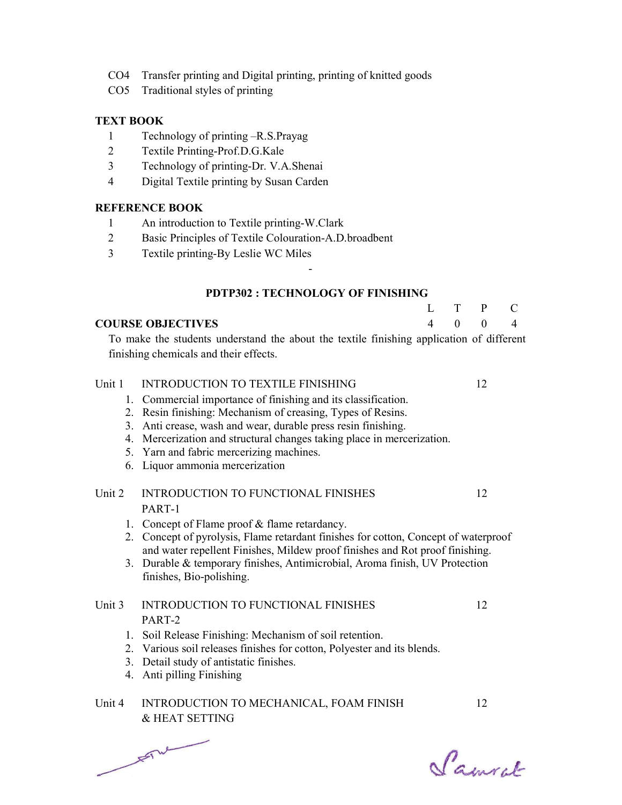- CO4 Transfer printing and Digital printing, printing of knitted goods
- CO5 Traditional styles of printing

## TEXT BOOK

- 1 Technology of printing –R.S.Prayag
- 2 Textile Printing-Prof.D.G.Kale
- 3 Technology of printing-Dr. V.A.Shenai
- 4 Digital Textile printing by Susan Carden

## REFERENCE BOOK

- 1 An introduction to Textile printing-W.Clark
- 2 Basic Principles of Textile Colouration-A.D.broadbent
- 3 Textile printing-By Leslie WC Miles

## PDTP302 : TECHNOLOGY OF FINISHING

L 4

T  $\Omega$  P  $\Omega$  C 4

-

# COURSE OBJECTIVES

 To make the students understand the about the textile finishing application of different finishing chemicals and their effects.

## Unit 1 INTRODUCTION TO TEXTILE FINISHING 12

- 1. Commercial importance of finishing and its classification.
- 2. Resin finishing: Mechanism of creasing, Types of Resins.
- 3. Anti crease, wash and wear, durable press resin finishing.
- 4. Mercerization and structural changes taking place in mercerization.
- 5. Yarn and fabric mercerizing machines.
- 6. Liquor ammonia mercerization

#### Unit 2 INTRODUCTION TO FUNCTIONAL FINISHES PART-1 12

- 1. Concept of Flame proof & flame retardancy.
- 2. Concept of pyrolysis, Flame retardant finishes for cotton, Concept of waterproof and water repellent Finishes, Mildew proof finishes and Rot proof finishing.
- 3. Durable & temporary finishes, Antimicrobial, Aroma finish, UV Protection finishes, Bio-polishing.

# Unit 3 INTRODUCTION TO FUNCTIONAL FINISHES PART-2

- 1. Soil Release Finishing: Mechanism of soil retention.
- 2. Various soil releases finishes for cotton, Polyester and its blends.
- 3. Detail study of antistatic finishes.
- 4. Anti pilling Finishing

# Unit 4 INTRODUCTION TO MECHANICAL, FOAM FINISH & HEAT SETTING

 $F_{\text{max}}$ 

Samuel

12

12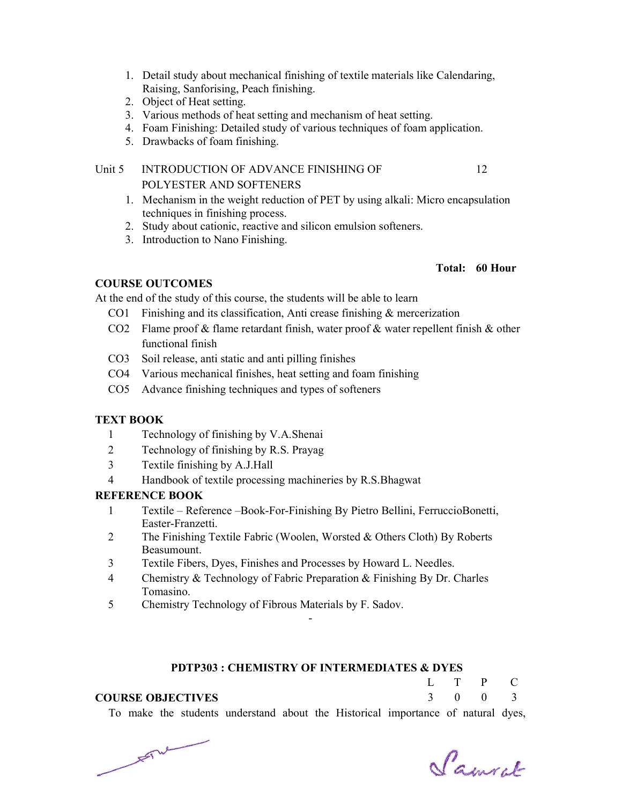- 1. Detail study about mechanical finishing of textile materials like Calendaring, Raising, Sanforising, Peach finishing.
- 2. Object of Heat setting.
- 3. Various methods of heat setting and mechanism of heat setting.
- 4. Foam Finishing: Detailed study of various techniques of foam application.
- 5. Drawbacks of foam finishing.

# Unit 5 INTRODUCTION OF ADVANCE FINISHING OF POLYESTER AND SOFTENERS

- 1. Mechanism in the weight reduction of PET by using alkali: Micro encapsulation techniques in finishing process.
- 2. Study about cationic, reactive and silicon emulsion softeners.
- 3. Introduction to Nano Finishing.

## Total: 60 Hour

12

# COURSE OUTCOMES

At the end of the study of this course, the students will be able to learn

- CO1 Finishing and its classification, Anti crease finishing & mercerization
- CO2 Flame proof & flame retardant finish, water proof & water repellent finish & other functional finish
- CO3 Soil release, anti static and anti pilling finishes
- CO4 Various mechanical finishes, heat setting and foam finishing
- CO5 Advance finishing techniques and types of softeners

# TEXT BOOK

- 1 Technology of finishing by V.A.Shenai
- 2 Technology of finishing by R.S. Prayag
- 3 Textile finishing by A.J.Hall
- 4 Handbook of textile processing machineries by R.S.Bhagwat

#### REFERENCE BOOK

- 1 Textile Reference –Book-For-Finishing By Pietro Bellini, FerruccioBonetti, Easter-Franzetti.
- 2 The Finishing Textile Fabric (Woolen, Worsted & Others Cloth) By Roberts Beasumount.
- 3 Textile Fibers, Dyes, Finishes and Processes by Howard L. Needles.
- 4 Chemistry & Technology of Fabric Preparation & Finishing By Dr. Charles Tomasino.
- 5 Chemistry Technology of Fibrous Materials by F. Sadov.

#### PDTP303 : CHEMISTRY OF INTERMEDIATES & DYES

-

#### COURSE OBJECTIVES

| L              | T | P        | C.             |
|----------------|---|----------|----------------|
| $\overline{3}$ | 0 | $\theta$ | $\overline{3}$ |

To make the students understand about the Historical importance of natural dyes,

 $F = \sqrt{2\pi r^2}$ 

Samcel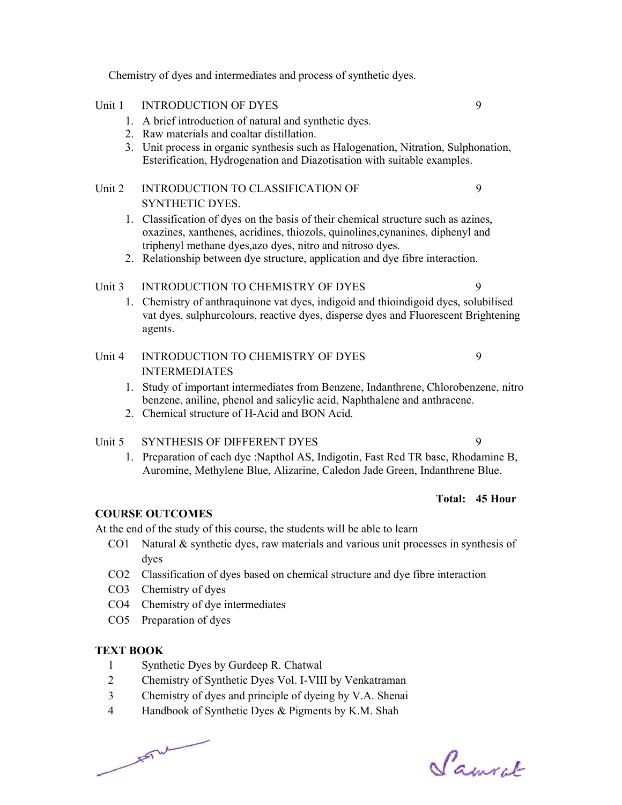Chemistry of dyes and intermediates and process of synthetic dyes.

# Unit 1 INTRODUCTION OF DYES 9

- 1. A brief introduction of natural and synthetic dyes.
- 2. Raw materials and coaltar distillation.
- 3. Unit process in organic synthesis such as Halogenation, Nitration, Sulphonation, Esterification, Hydrogenation and Diazotisation with suitable examples.

# Unit 2 INTRODUCTION TO CLASSIFICATION OF SYNTHETIC DYES.

- 1. Classification of dyes on the basis of their chemical structure such as azines, oxazines, xanthenes, acridines, thiozols, quinolines,cynanines, diphenyl and triphenyl methane dyes,azo dyes, nitro and nitroso dyes.
- 2. Relationship between dye structure, application and dye fibre interaction.

# Unit 3 INTRODUCTION TO CHEMISTRY OF DYES 9

 1. Chemistry of anthraquinone vat dyes, indigoid and thioindigoid dyes, solubilised vat dyes, sulphurcolours, reactive dyes, disperse dyes and Fluorescent Brightening agents.

#### Unit 4 INTRODUCTION TO CHEMISTRY OF DYES INTERMEDIATES 9

- 1. Study of important intermediates from Benzene, Indanthrene, Chlorobenzene, nitro benzene, aniline, phenol and salicylic acid, Naphthalene and anthracene.
- 2. Chemical structure of H-Acid and BON Acid.

# Unit 5 SYNTHESIS OF DIFFERENT DYES 9

 1. Preparation of each dye :Napthol AS, Indigotin, Fast Red TR base, Rhodamine B, Auromine, Methylene Blue, Alizarine, Caledon Jade Green, Indanthrene Blue.

# Total: 45 Hour

9

#### COURSE OUTCOMES

At the end of the study of this course, the students will be able to learn

- CO1 Natural & synthetic dyes, raw materials and various unit processes in synthesis of dyes
- CO2 Classification of dyes based on chemical structure and dye fibre interaction
- CO3 Chemistry of dyes
- CO4 Chemistry of dye intermediates
- CO5 Preparation of dyes

#### TEXT BOOK

- 1 Synthetic Dyes by Gurdeep R. Chatwal
- 2 Chemistry of Synthetic Dyes Vol. I-VIII by Venkatraman
- 3 Chemistry of dyes and principle of dyeing by V.A. Shenai
- 4 Handbook of Synthetic Dyes & Pigments by K.M. Shah

 $F = T \cup F$ 

Samcel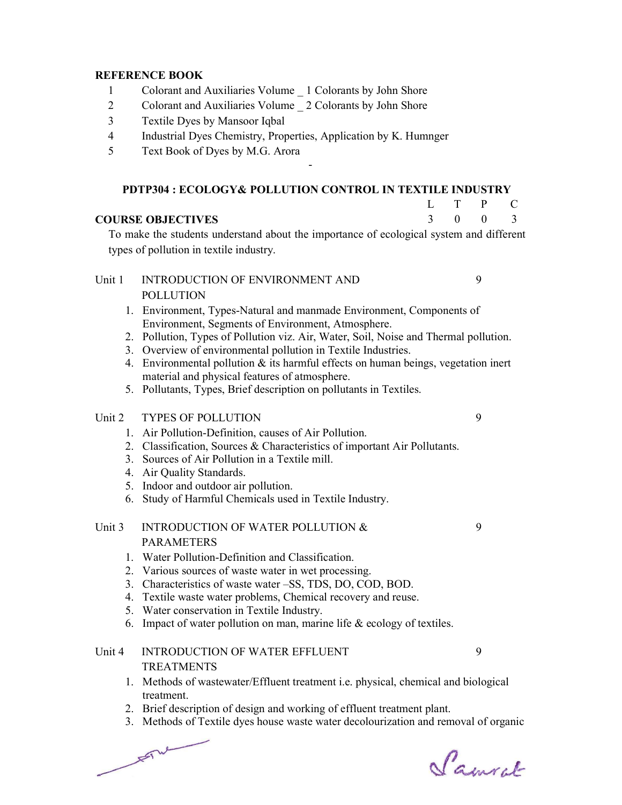#### REFERENCE BOOK

- 1 Colorant and Auxiliaries Volume \_ 1 Colorants by John Shore
- 2 Colorant and Auxiliaries Volume 2 Colorants by John Shore
- 3 Textile Dyes by Mansoor Iqbal
- 4 Industrial Dyes Chemistry, Properties, Application by K. Humnger
- 5 Text Book of Dyes by M.G. Arora

#### PDTP304 : ECOLOGY& POLLUTION CONTROL IN TEXTILE INDUSTRY

-

#### COURSE OBJECTIVES

 To make the students understand about the importance of ecological system and different types of pollution in textile industry.

# Unit 1 INTRODUCTION OF ENVIRONMENT AND POLLUTION

- 1. Environment, Types-Natural and manmade Environment, Components of Environment, Segments of Environment, Atmosphere.
- 2. Pollution, Types of Pollution viz. Air, Water, Soil, Noise and Thermal pollution.
- 3. Overview of environmental pollution in Textile Industries.
- 4. Environmental pollution & its harmful effects on human beings, vegetation inert material and physical features of atmosphere.
- 5. Pollutants, Types, Brief description on pollutants in Textiles.

#### Unit 2 TYPES OF POLLUTION 9

- 1. Air Pollution-Definition, causes of Air Pollution.
- 2. Classification, Sources & Characteristics of important Air Pollutants.
- 3. Sources of Air Pollution in a Textile mill.
- 4. Air Quality Standards.
- 5. Indoor and outdoor air pollution.
- 6. Study of Harmful Chemicals used in Textile Industry.

# Unit 3 INTRODUCTION OF WATER POLLUTION & PARAMETERS

- 1. Water Pollution-Definition and Classification.
- 2. Various sources of waste water in wet processing.
- 3. Characteristics of waste water –SS, TDS, DO, COD, BOD.
- 4. Textile waste water problems, Chemical recovery and reuse.
- 5. Water conservation in Textile Industry.
- 6. Impact of water pollution on man, marine life & ecology of textiles.

# Unit 4 INTRODUCTION OF WATER EFFLUENT TREATMENTS

- 1. Methods of wastewater/Effluent treatment i.e. physical, chemical and biological treatment.
- 2. Brief description of design and working of effluent treatment plant.
- 3. Methods of Textile dyes house waste water decolourization and removal of organic

 $F^{\text{rel}}$ 

Samcel

9

9

 $\mathbf{L}$ 3

T  $\overline{0}$  P 0

9

 $\mathcal{C}$ 3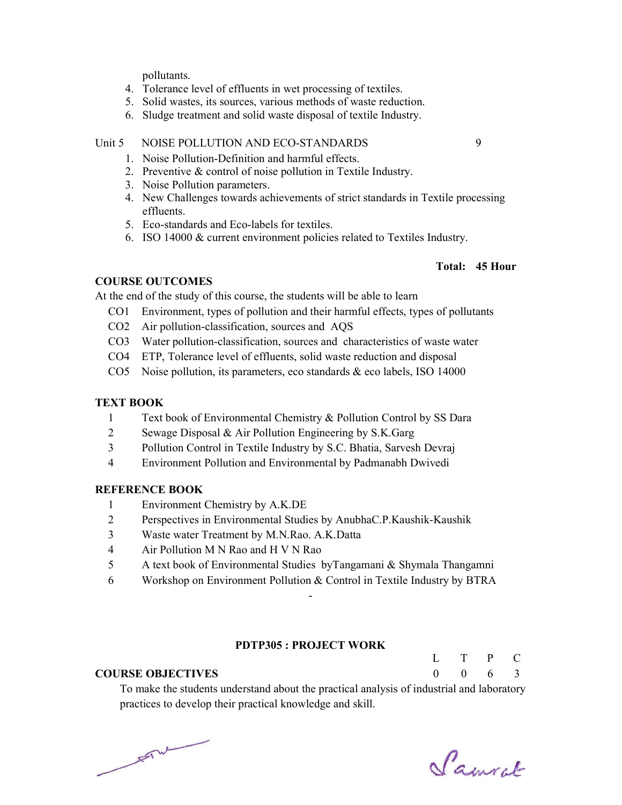pollutants.

- 4. Tolerance level of effluents in wet processing of textiles.
- 5. Solid wastes, its sources, various methods of waste reduction.
- 6. Sludge treatment and solid waste disposal of textile Industry.

#### Unit 5 NOISE POLLUTION AND ECO-STANDARDS 9

- 1. Noise Pollution-Definition and harmful effects.
- 2. Preventive & control of noise pollution in Textile Industry.
- 3. Noise Pollution parameters.
- 4. New Challenges towards achievements of strict standards in Textile processing effluents.
- 5. Eco-standards and Eco-labels for textiles.
- 6. ISO 14000 & current environment policies related to Textiles Industry.

#### Total: 45 Hour

#### COURSE OUTCOMES

At the end of the study of this course, the students will be able to learn

- CO1 Environment, types of pollution and their harmful effects, types of pollutants
- CO2 Air pollution-classification, sources and AQS
- CO3 Water pollution-classification, sources and characteristics of waste water
- CO4 ETP, Tolerance level of effluents, solid waste reduction and disposal
- CO5 Noise pollution, its parameters, eco standards & eco labels, ISO 14000

#### TEXT BOOK

- 1 Text book of Environmental Chemistry & Pollution Control by SS Dara
- 2 Sewage Disposal & Air Pollution Engineering by S.K.Garg
- 3 Pollution Control in Textile Industry by S.C. Bhatia, Sarvesh Devraj
- 4 Environment Pollution and Environmental by Padmanabh Dwivedi

#### REFERENCE BOOK

- 1 Environment Chemistry by A.K.DE
- 2 Perspectives in Environmental Studies by AnubhaC.P.Kaushik-Kaushik
- 3 Waste water Treatment by M.N.Rao. A.K.Datta
- 4 Air Pollution M N Rao and H V N Rao
- 5 A text book of Environmental Studies byTangamani & Shymala Thangamni
- 6 Workshop on Environment Pollution & Control in Textile Industry by BTRA

## PDTP305 : PROJECT WORK

-

#### COURSE OBJECTIVES

L  $\Omega$ T  $\Omega$ P 6 C 3

 To make the students understand about the practical analysis of industrial and laboratory practices to develop their practical knowledge and skill.

 $F = \frac{1}{2}$ 

Samcel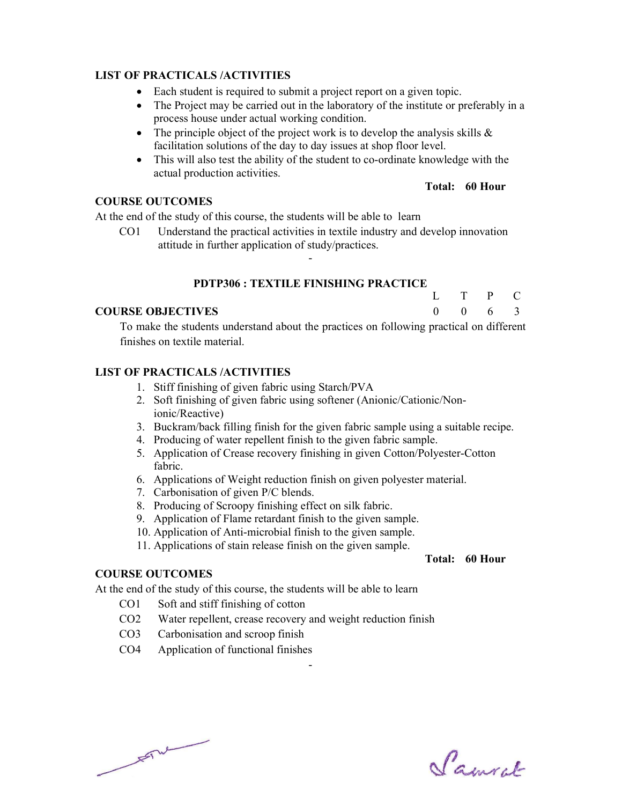## LIST OF PRACTICALS /ACTIVITIES

- Each student is required to submit a project report on a given topic.
- The Project may be carried out in the laboratory of the institute or preferably in a process house under actual working condition.
- The principle object of the project work is to develop the analysis skills  $\&$ facilitation solutions of the day to day issues at shop floor level.
- This will also test the ability of the student to co-ordinate knowledge with the actual production activities.

#### Total: 60 Hour

T  $\mathbf{0}$  P 6  $\mathcal{C}$ 3

 $\mathbf{L}$  $\Omega$ 

## COURSE OUTCOMES

At the end of the study of this course, the students will be able to learn

 CO1 Understand the practical activities in textile industry and develop innovation attitude in further application of study/practices.

-

#### PDTP306 : TEXTILE FINISHING PRACTICE

#### COURSE OBJECTIVES

 To make the students understand about the practices on following practical on different finishes on textile material.

## LIST OF PRACTICALS /ACTIVITIES

- 1. Stiff finishing of given fabric using Starch/PVA
- 2. Soft finishing of given fabric using softener (Anionic/Cationic/Nonionic/Reactive)
- 3. Buckram/back filling finish for the given fabric sample using a suitable recipe.
- 4. Producing of water repellent finish to the given fabric sample.
- 5. Application of Crease recovery finishing in given Cotton/Polyester-Cotton fabric.
- 6. Applications of Weight reduction finish on given polyester material.
- 7. Carbonisation of given P/C blends.
- 8. Producing of Scroopy finishing effect on silk fabric.
- 9. Application of Flame retardant finish to the given sample.
- 10. Application of Anti-microbial finish to the given sample.
- 11. Applications of stain release finish on the given sample.

#### Total: 60 Hour

#### COURSE OUTCOMES

At the end of the study of this course, the students will be able to learn

- CO1 Soft and stiff finishing of cotton
- CO2 Water repellent, crease recovery and weight reduction finish

- CO3 Carbonisation and scroop finish
- CO4 Application of functional finishes

 $\sqrt{1-\frac{1}{2}}$ 

Samuel